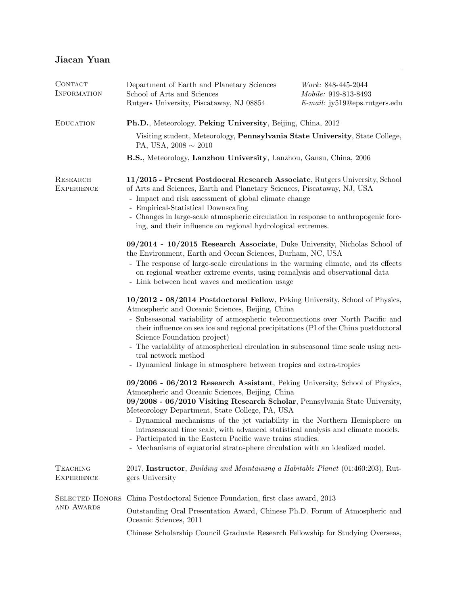| CONTACT<br><b>INFORMATION</b>        | Department of Earth and Planetary Sciences<br>School of Arts and Sciences<br>Rutgers University, Piscataway, NJ 08854                                                                                                                                                                                                                                                                                                                                                                                                                                                           | <i>Work:</i> 848-445-2044<br>Mobile: 919-813-8493<br>$E-mail: jy519@eps.rutgers.edu$ |  |
|--------------------------------------|---------------------------------------------------------------------------------------------------------------------------------------------------------------------------------------------------------------------------------------------------------------------------------------------------------------------------------------------------------------------------------------------------------------------------------------------------------------------------------------------------------------------------------------------------------------------------------|--------------------------------------------------------------------------------------|--|
| <b>EDUCATION</b>                     | Ph.D., Meteorology, Peking University, Beijing, China, 2012                                                                                                                                                                                                                                                                                                                                                                                                                                                                                                                     |                                                                                      |  |
|                                      | Visiting student, Meteorology, Pennsylvania State University, State College,<br>PA, USA, $2008 \sim 2010$                                                                                                                                                                                                                                                                                                                                                                                                                                                                       |                                                                                      |  |
|                                      | B.S., Meteorology, Lanzhou University, Lanzhou, Gansu, China, 2006                                                                                                                                                                                                                                                                                                                                                                                                                                                                                                              |                                                                                      |  |
| RESEARCH<br><b>EXPERIENCE</b>        | 11/2015 - Present Postdocral Research Associate, Rutgers University, School<br>of Arts and Sciences, Earth and Planetary Sciences, Piscataway, NJ, USA<br>- Impact and risk assessment of global climate change<br>- Empirical-Statistical Downscaling<br>- Changes in large-scale atmospheric circulation in response to anthropogenic forc-<br>ing, and their influence on regional hydrological extremes.                                                                                                                                                                    |                                                                                      |  |
|                                      | 09/2014 - 10/2015 Research Associate, Duke University, Nicholas School of<br>the Environment, Earth and Ocean Sciences, Durham, NC, USA<br>- The response of large-scale circulations in the warming climate, and its effects<br>on regional weather extreme events, using reanalysis and observational data<br>- Link between heat waves and medication usage                                                                                                                                                                                                                  |                                                                                      |  |
|                                      | 10/2012 - 08/2014 Postdoctoral Fellow, Peking University, School of Physics,<br>Atmospheric and Oceanic Sciences, Beijing, China<br>- Subseasonal variability of atmospheric teleconnections over North Pacific and<br>their influence on sea ice and regional precipitations (PI of the China postdoctoral<br>Science Foundation project)<br>- The variability of atmospherical circulation in subseasonal time scale using neu-<br>tral network method<br>- Dynamical linkage in atmosphere between tropics and extra-tropics                                                 |                                                                                      |  |
|                                      | 09/2006 - 06/2012 Research Assistant, Peking University, School of Physics,<br>Atmospheric and Oceanic Sciences, Beijing, China<br>09/2008 - 06/2010 Visiting Research Scholar, Pennsylvania State University,<br>Meteorology Department, State College, PA, USA<br>Dynamical mechanisms of the jet variability in the Northern Hemisphere on<br>intraseasonal time scale, with advanced statistical analysis and climate models.<br>- Participated in the Eastern Pacific wave trains studies.<br>- Mechanisms of equatorial stratosphere circulation with an idealized model. |                                                                                      |  |
| <b>TEACHING</b><br><b>EXPERIENCE</b> | 2017, Instructor, Building and Maintaining a Habitable Planet (01:460:203), Rut-<br>gers University                                                                                                                                                                                                                                                                                                                                                                                                                                                                             |                                                                                      |  |
| <b>SELECTED HONORS</b><br>AND AWARDS | China Postdoctoral Science Foundation, first class award, 2013                                                                                                                                                                                                                                                                                                                                                                                                                                                                                                                  |                                                                                      |  |
|                                      | Outstanding Oral Presentation Award, Chinese Ph.D. Forum of Atmospheric and<br>Oceanic Sciences, 2011                                                                                                                                                                                                                                                                                                                                                                                                                                                                           |                                                                                      |  |
|                                      | Chinese Scholarship Council Graduate Research Fellowship for Studying Overseas,                                                                                                                                                                                                                                                                                                                                                                                                                                                                                                 |                                                                                      |  |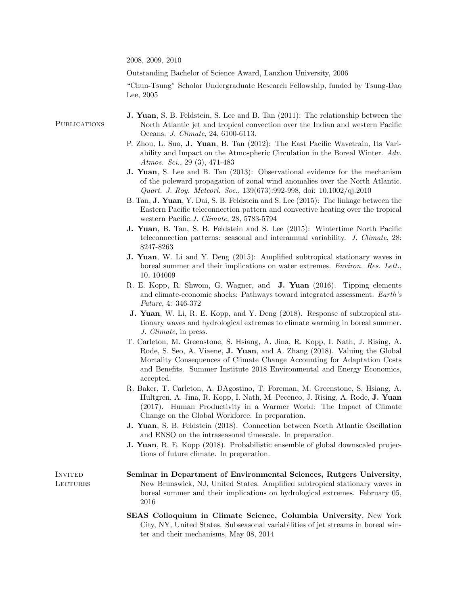2008, 2009, 2010

Outstanding Bachelor of Science Award, Lanzhou University, 2006

"Chun-Tsung" Scholar Undergraduate Research Fellowship, funded by Tsung-Dao Lee, 2005

## J. Yuan, S. B. Feldstein, S. Lee and B. Tan (2011): The relationship between the North Atlantic jet and tropical convection over the Indian and western Pacific Oceans. J. Climate, 24, 6100-6113.

- P. Zhou, L. Suo, J. Yuan, B. Tan (2012): The East Pacific Wavetrain, Its Variability and Impact on the Atmospheric Circulation in the Boreal Winter. Adv. Atmos. Sci., 29 (3), 471-483
- J. Yuan, S. Lee and B. Tan (2013): Observational evidence for the mechanism of the poleward propagation of zonal wind anomalies over the North Atlantic. Quart. J. Roy. Meteorl. Soc., 139(673):992-998, doi: 10.1002/qj.2010
- B. Tan, J. Yuan, Y. Dai, S. B. Feldstein and S. Lee (2015): The linkage between the Eastern Pacific teleconnection pattern and convective heating over the tropical western Pacific.J. Climate, 28, 5783-5794
- J. Yuan, B. Tan, S. B. Feldstein and S. Lee (2015): Wintertime North Pacific teleconnection patterns: seasonal and interannual variability. *J. Climate*, 28: 8247-8263
- J. Yuan, W. Li and Y. Deng (2015): Amplified subtropical stationary waves in boreal summer and their implications on water extremes. Environ. Res. Lett., 10, 104009
- R. E. Kopp, R. Shwom, G. Wagner, and J. Yuan (2016). Tipping elements and climate-economic shocks: Pathways toward integrated assessment. Earth's Future, 4: 346-372
- J. Yuan, W. Li, R. E. Kopp, and Y. Deng (2018). Response of subtropical stationary waves and hydrological extremes to climate warming in boreal summer. J. Climate, in press.
- T. Carleton, M. Greenstone, S. Hsiang, A. Jina, R. Kopp, I. Nath, J. Rising, A. Rode, S. Seo, A. Viaene, **J. Yuan**, and A. Zhang (2018). Valuing the Global Mortality Consequences of Climate Change Accounting for Adaptation Costs and Benefits. Summer Institute 2018 Environmental and Energy Economics, accepted.
- R. Baker, T. Carleton, A. DAgostino, T. Foreman, M. Greenstone, S. Hsiang, A. Hultgren, A. Jina, R. Kopp, I. Nath, M. Pecenco, J. Rising, A. Rode, J. Yuan (2017). Human Productivity in a Warmer World: The Impact of Climate Change on the Global Workforce. In preparation.
- J. Yuan, S. B. Feldstein (2018). Connection between North Atlantic Oscillation and ENSO on the intraseasonal timescale. In preparation.
- J. Yuan, R. E. Kopp (2018). Probabilistic ensemble of global downscaled projections of future climate. In preparation.
- Seminar in Department of Environmental Sciences, Rutgers University, New Brunswick, NJ, United States. Amplified subtropical stationary waves in boreal summer and their implications on hydrological extremes. February 05, 2016
- SEAS Colloquium in Climate Science, Columbia University, New York City, NY, United States. Subseasonal variabilities of jet streams in boreal winter and their mechanisms, May 08, 2014

**INVITED LECTURES** 

**PUBLICATIONS**